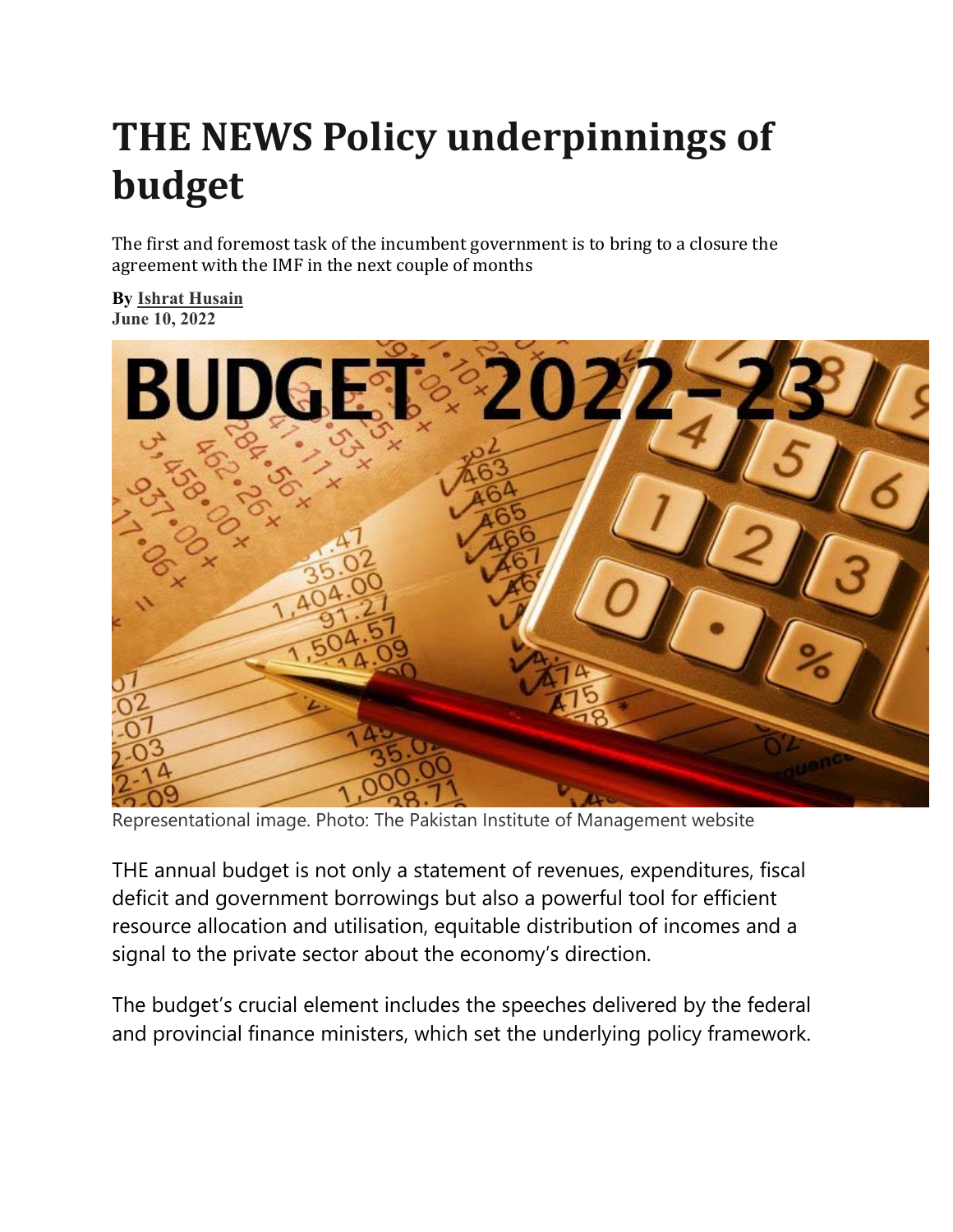## **THE NEWS Policy underpinnings of budget**

The first and foremost task of the incumbent government is to bring to a closure the agreement with the IMF in the next couple of months

**By Ishrat Husain June 10, 2022** 



Representational image. Photo: The Pakistan Institute of Management website

THE annual budget is not only a statement of revenues, expenditures, fiscal deficit and government borrowings but also a powerful tool for efficient resource allocation and utilisation, equitable distribution of incomes and a signal to the private sector about the economy's direction.

The budget's crucial element includes the speeches delivered by the federal and provincial finance ministers, which set the underlying policy framework.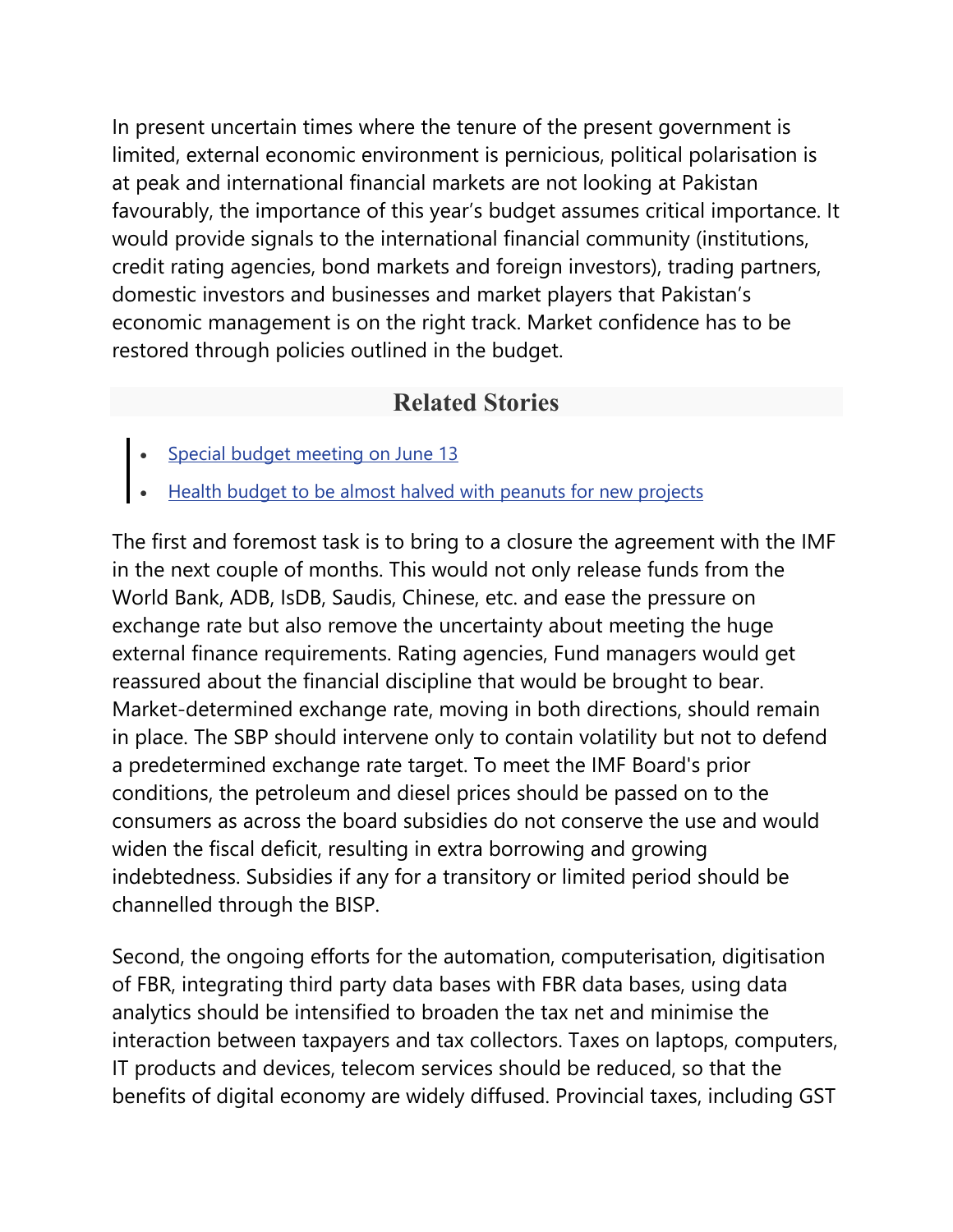In present uncertain times where the tenure of the present government is limited, external economic environment is pernicious, political polarisation is at peak and international financial markets are not looking at Pakistan favourably, the importance of this year's budget assumes critical importance. It would provide signals to the international financial community (institutions, credit rating agencies, bond markets and foreign investors), trading partners, domestic investors and businesses and market players that Pakistan's economic management is on the right track. Market confidence has to be restored through policies outlined in the budget.

## **Related Stories**

- Special budget meeting on June 13
- Health budget to be almost halved with peanuts for new projects

The first and foremost task is to bring to a closure the agreement with the IMF in the next couple of months. This would not only release funds from the World Bank, ADB, IsDB, Saudis, Chinese, etc. and ease the pressure on exchange rate but also remove the uncertainty about meeting the huge external finance requirements. Rating agencies, Fund managers would get reassured about the financial discipline that would be brought to bear. Market-determined exchange rate, moving in both directions, should remain in place. The SBP should intervene only to contain volatility but not to defend a predetermined exchange rate target. To meet the IMF Board's prior conditions, the petroleum and diesel prices should be passed on to the consumers as across the board subsidies do not conserve the use and would widen the fiscal deficit, resulting in extra borrowing and growing indebtedness. Subsidies if any for a transitory or limited period should be channelled through the BISP.

Second, the ongoing efforts for the automation, computerisation, digitisation of FBR, integrating third party data bases with FBR data bases, using data analytics should be intensified to broaden the tax net and minimise the interaction between taxpayers and tax collectors. Taxes on laptops, computers, IT products and devices, telecom services should be reduced, so that the benefits of digital economy are widely diffused. Provincial taxes, including GST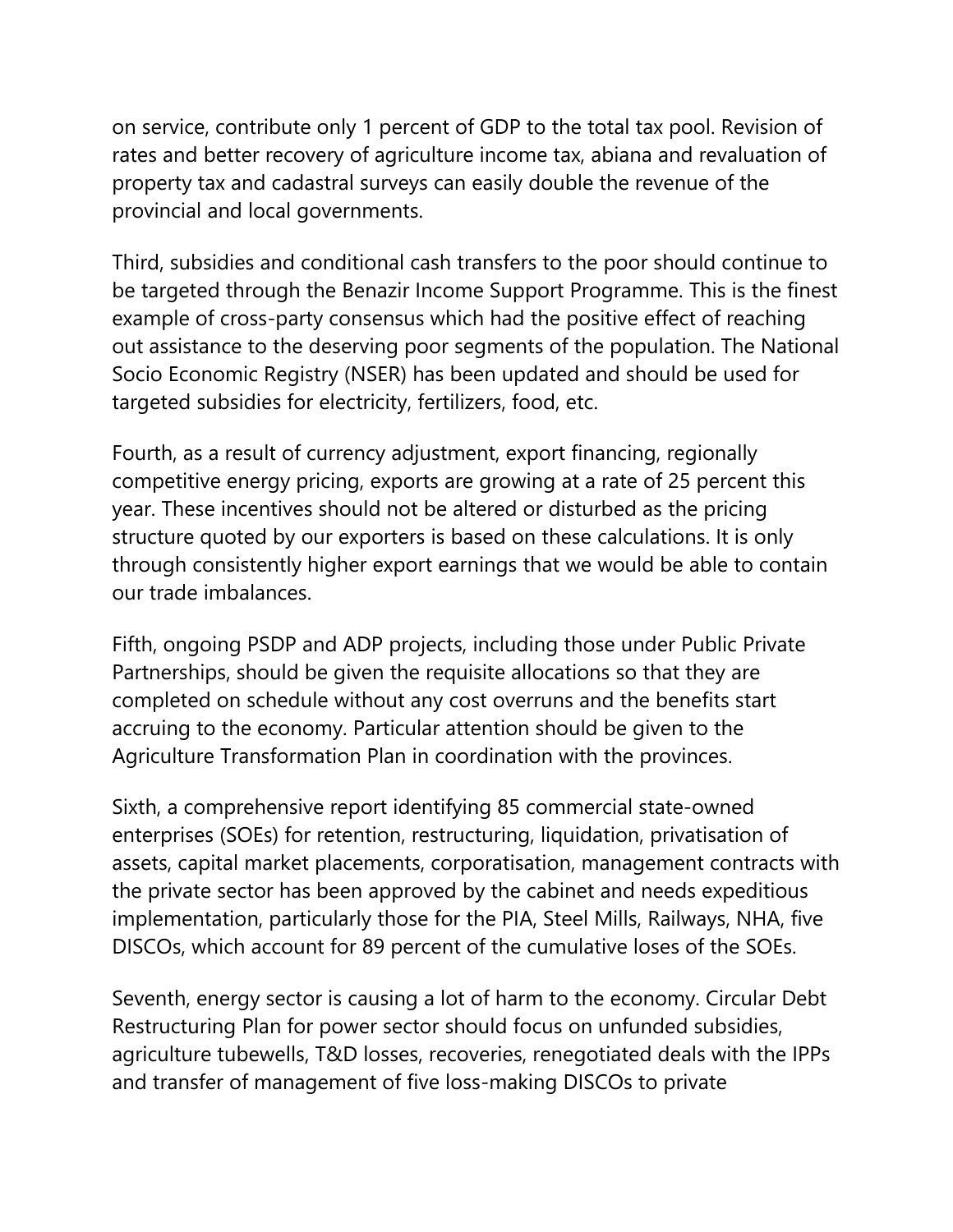on service, contribute only 1 percent of GDP to the total tax pool. Revision of rates and better recovery of agriculture income tax, abiana and revaluation of property tax and cadastral surveys can easily double the revenue of the provincial and local governments.

Third, subsidies and conditional cash transfers to the poor should continue to be targeted through the Benazir Income Support Programme. This is the finest example of cross-party consensus which had the positive effect of reaching out assistance to the deserving poor segments of the population. The National Socio Economic Registry (NSER) has been updated and should be used for targeted subsidies for electricity, fertilizers, food, etc.

Fourth, as a result of currency adjustment, export financing, regionally competitive energy pricing, exports are growing at a rate of 25 percent this year. These incentives should not be altered or disturbed as the pricing structure quoted by our exporters is based on these calculations. It is only through consistently higher export earnings that we would be able to contain our trade imbalances.

Fifth, ongoing PSDP and ADP projects, including those under Public Private Partnerships, should be given the requisite allocations so that they are completed on schedule without any cost overruns and the benefits start accruing to the economy. Particular attention should be given to the Agriculture Transformation Plan in coordination with the provinces.

Sixth, a comprehensive report identifying 85 commercial state-owned enterprises (SOEs) for retention, restructuring, liquidation, privatisation of assets, capital market placements, corporatisation, management contracts with the private sector has been approved by the cabinet and needs expeditious implementation, particularly those for the PIA, Steel Mills, Railways, NHA, five DISCOs, which account for 89 percent of the cumulative loses of the SOEs.

Seventh, energy sector is causing a lot of harm to the economy. Circular Debt Restructuring Plan for power sector should focus on unfunded subsidies, agriculture tubewells, T&D losses, recoveries, renegotiated deals with the IPPs and transfer of management of five loss-making DISCOs to private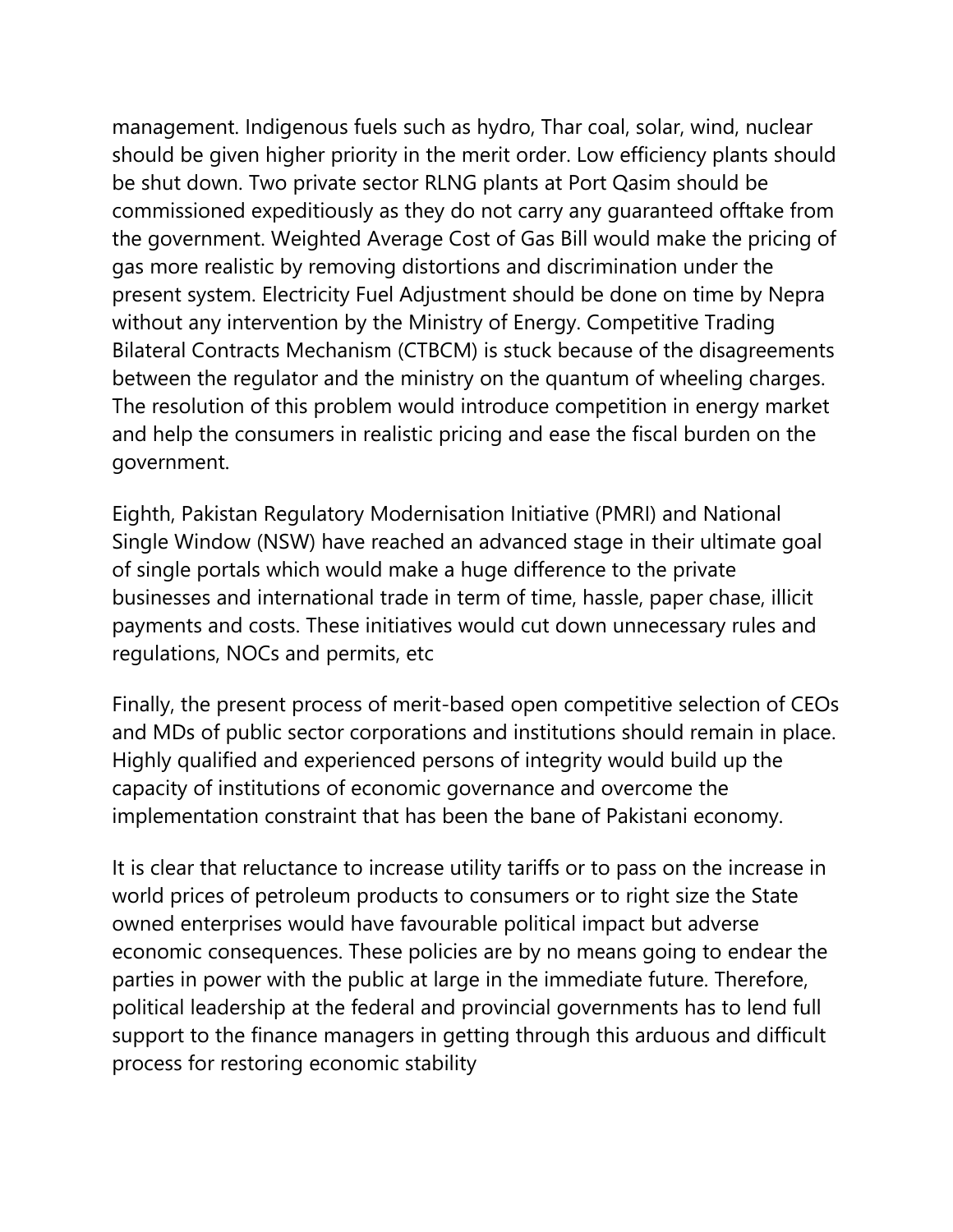management. Indigenous fuels such as hydro, Thar coal, solar, wind, nuclear should be given higher priority in the merit order. Low efficiency plants should be shut down. Two private sector RLNG plants at Port Qasim should be commissioned expeditiously as they do not carry any guaranteed offtake from the government. Weighted Average Cost of Gas Bill would make the pricing of gas more realistic by removing distortions and discrimination under the present system. Electricity Fuel Adjustment should be done on time by Nepra without any intervention by the Ministry of Energy. Competitive Trading Bilateral Contracts Mechanism (CTBCM) is stuck because of the disagreements between the regulator and the ministry on the quantum of wheeling charges. The resolution of this problem would introduce competition in energy market and help the consumers in realistic pricing and ease the fiscal burden on the government.

Eighth, Pakistan Regulatory Modernisation Initiative (PMRI) and National Single Window (NSW) have reached an advanced stage in their ultimate goal of single portals which would make a huge difference to the private businesses and international trade in term of time, hassle, paper chase, illicit payments and costs. These initiatives would cut down unnecessary rules and regulations, NOCs and permits, etc

Finally, the present process of merit-based open competitive selection of CEOs and MDs of public sector corporations and institutions should remain in place. Highly qualified and experienced persons of integrity would build up the capacity of institutions of economic governance and overcome the implementation constraint that has been the bane of Pakistani economy.

It is clear that reluctance to increase utility tariffs or to pass on the increase in world prices of petroleum products to consumers or to right size the State owned enterprises would have favourable political impact but adverse economic consequences. These policies are by no means going to endear the parties in power with the public at large in the immediate future. Therefore, political leadership at the federal and provincial governments has to lend full support to the finance managers in getting through this arduous and difficult process for restoring economic stability